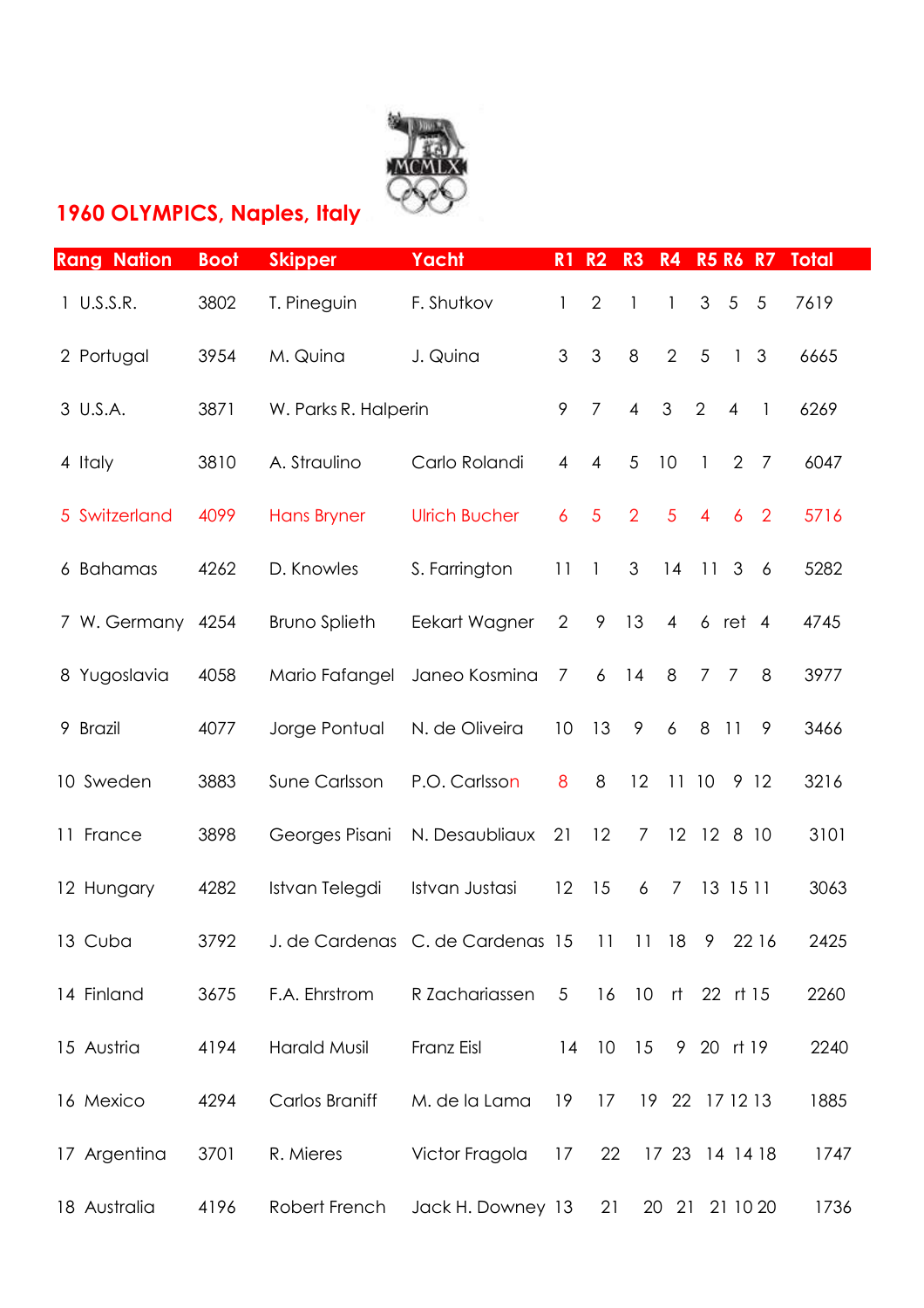

## **1960 OLYMPICS, Naples, Italy**

| <b>Rang Nation</b> | <b>Boot</b> | <b>Skipper</b>        | Yacht                                     | R1             | R <sub>2</sub> | R <sub>3</sub> | R4             | <b>R5 R6 R7</b> |                 |                | <b>Total</b> |
|--------------------|-------------|-----------------------|-------------------------------------------|----------------|----------------|----------------|----------------|-----------------|-----------------|----------------|--------------|
| 1 U.S.S.R.         | 3802        | T. Pineguin           | F. Shutkov                                | 1              | $\overline{2}$ | $\mathbf{1}$   | $\mathbf{1}$   | $\mathfrak{S}$  | 5               | $\overline{5}$ | 7619         |
| 2 Portugal         | 3954        | M. Quina              | J. Quina                                  | 3              | $\mathfrak{Z}$ | 8              | $\overline{2}$ | 5               | $\mathbf{1}$    | 3              | 6665         |
| 3 U.S.A.           | 3871        | W. Parks R. Halperin  |                                           | 9              | $\overline{7}$ | $\overline{4}$ | $\mathfrak{S}$ | $\overline{2}$  | $\overline{4}$  | $\mathbf{1}$   | 6269         |
| 4 Italy            | 3810        | A. Straulino          | Carlo Rolandi                             | 4              | $\overline{4}$ | 5              | 10             | $\mathbf{1}$    | 2               | $\overline{7}$ | 6047         |
| 5 Switzerland      | 4099        | <b>Hans Bryner</b>    | <b>Ulrich Bucher</b>                      | 6              | $\overline{5}$ | $\overline{2}$ | 5              | $\overline{4}$  | $\overline{6}$  | $\overline{2}$ | 5716         |
| 6 Bahamas          | 4262        | D. Knowles            | S. Farrington                             | 11             | $\mathbf{1}$   | 3              | 14             | 11              | 3               | 6              | 5282         |
| 7 W. Germany       | 4254        | <b>Bruno Splieth</b>  | Eekart Wagner                             | $\overline{2}$ | 9              | 13             | $\overline{4}$ | $6$ ret $4$     |                 |                | 4745         |
| 8 Yugoslavia       | 4058        | Mario Fafangel        | Janeo Kosmina                             | $\overline{7}$ | 6              | 14             | 8              | $7\overline{ }$ | $\overline{7}$  | 8              | 3977         |
| 9 Brazil           | 4077        | Jorge Pontual         | N. de Oliveira                            | 10             | 13             | 9              | 6              | 8               | $\overline{11}$ | 9              | 3466         |
| 10 Sweden          | 3883        | Sune Carlsson         | P.O. Carlsson                             | 8              | 8              | 12             |                | 1110            |                 | 9 12           | 3216         |
| 11 France          | 3898        | Georges Pisani        | N. Desaubliaux                            | 21             | 12             | 7              |                | 12 12 8 10      |                 |                | 3101         |
| 12 Hungary         | 4282        | Istvan Telegdi        | Istvan Justasi                            | 12             | 15             | 6              | $\overline{7}$ | 13 15 11        |                 |                | 3063         |
| 13 Cuba            | 3792        |                       | J. de Cardenas C. de Cardenas 15 11 11 18 |                |                |                |                | 9               |                 | 22 16          | 2425         |
| 14 Finland         | 3675        | F.A. Ehrstrom         | R Zachariassen                            | $\overline{5}$ | 16             |                |                | 10 rt 22 rt 15  |                 |                | 2260         |
| 15 Austria         | 4194        | <b>Harald Musil</b>   | Franz Eisl                                | 14             | 10             | 15             |                | 9 20 rt 19      |                 |                | 2240         |
| 16 Mexico          | 4294        | <b>Carlos Braniff</b> | M. de la Lama                             | 19             | 17             |                |                | 19 22 17 12 13  |                 |                | 1885         |
| 17 Argentina       | 3701        | R. Mieres             | Victor Fragola                            | 17             | 22             |                |                | 17 23 14 14 18  |                 |                | 1747         |
| 18 Australia       | 4196        | Robert French         | Jack H. Downey 13                         |                | 21             |                | 20 21          |                 |                 | 21 10 20       | 1736         |